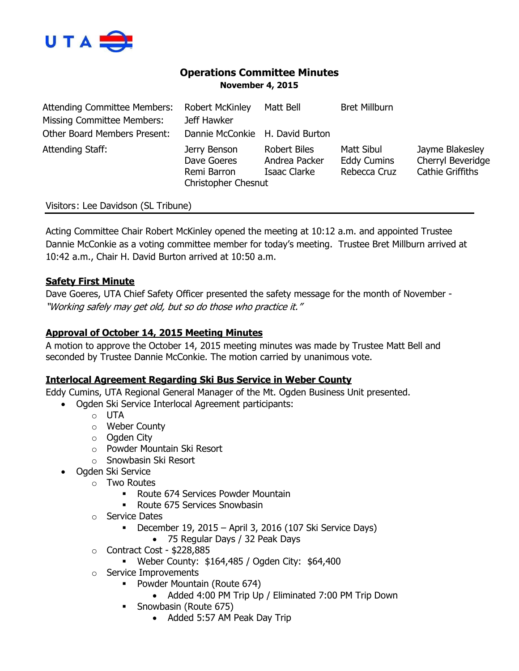

# **Operations Committee Minutes November 4, 2015**

| <b>Attending Committee Members:</b> | <b>Robert McKinley</b>                                                   | Matt Bell                                            | <b>Bret Millburn</b>                             |                                                                 |
|-------------------------------------|--------------------------------------------------------------------------|------------------------------------------------------|--------------------------------------------------|-----------------------------------------------------------------|
| <b>Missing Committee Members:</b>   | Jeff Hawker                                                              |                                                      |                                                  |                                                                 |
| <b>Other Board Members Present:</b> | Dannie McConkie H. David Burton                                          |                                                      |                                                  |                                                                 |
| Attending Staff:                    | Jerry Benson<br>Dave Goeres<br>Remi Barron<br><b>Christopher Chesnut</b> | <b>Robert Biles</b><br>Andrea Packer<br>Isaac Clarke | Matt Sibul<br><b>Eddy Cumins</b><br>Rebecca Cruz | Jayme Blakesley<br>Cherryl Beveridge<br><b>Cathie Griffiths</b> |

# Visitors: Lee Davidson (SL Tribune)

Acting Committee Chair Robert McKinley opened the meeting at 10:12 a.m. and appointed Trustee Dannie McConkie as a voting committee member for today's meeting. Trustee Bret Millburn arrived at 10:42 a.m., Chair H. David Burton arrived at 10:50 a.m.

## **Safety First Minute**

Dave Goeres, UTA Chief Safety Officer presented the safety message for the month of November - "Working safely may get old, but so do those who practice it."

# **Approval of October 14, 2015 Meeting Minutes**

A motion to approve the October 14, 2015 meeting minutes was made by Trustee Matt Bell and seconded by Trustee Dannie McConkie. The motion carried by unanimous vote.

### **Interlocal Agreement Regarding Ski Bus Service in Weber County**

Eddy Cumins, UTA Regional General Manager of the Mt. Ogden Business Unit presented.

Ogden Ski Service Interlocal Agreement participants:

- o UTA
	- o Weber County
- o Ogden City
- o Powder Mountain Ski Resort
- o Snowbasin Ski Resort
- Ogden Ski Service
	- o Two Routes
		- Route 674 Services Powder Mountain
		- Route 675 Services Snowbasin
	- o Service Dates
		- December 19, 2015 April 3, 2016 (107 Ski Service Days)
			- 75 Regular Days / 32 Peak Days
	- o Contract Cost \$228,885
		- Weber County: \$164,485 / Ogden City: \$64,400
	- o Service Improvements
		- **Powder Mountain (Route 674)** 
			- Added 4:00 PM Trip Up / Eliminated 7:00 PM Trip Down
		- Snowbasin (Route 675)
			- Added 5:57 AM Peak Day Trip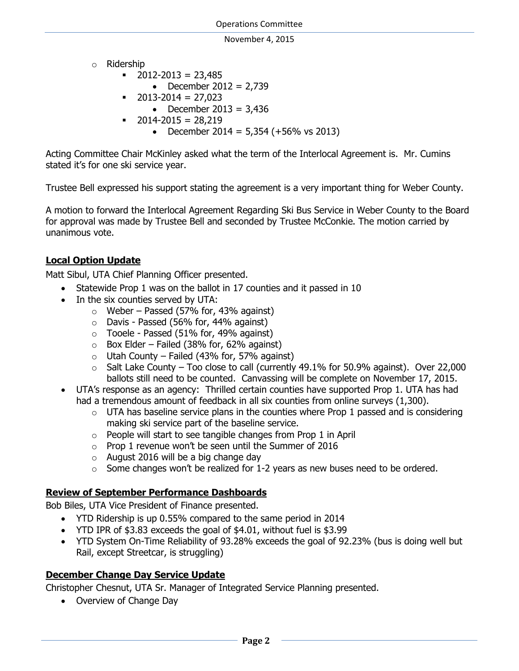- o Ridership
	- $\blacksquare$  2012-2013 = 23,485
		- December  $2012 = 2,739$
	- $\bullet$  2013-2014 = 27,023
		- December 2013 =  $3,436$
	- $\bullet$  2014-2015 = 28,219
		- December 2014 =  $5,354$  (+56% vs 2013)

Acting Committee Chair McKinley asked what the term of the Interlocal Agreement is. Mr. Cumins stated it's for one ski service year.

Trustee Bell expressed his support stating the agreement is a very important thing for Weber County.

A motion to forward the Interlocal Agreement Regarding Ski Bus Service in Weber County to the Board for approval was made by Trustee Bell and seconded by Trustee McConkie. The motion carried by unanimous vote.

# **Local Option Update**

Matt Sibul, UTA Chief Planning Officer presented.

- Statewide Prop 1 was on the ballot in 17 counties and it passed in 10
- In the six counties served by UTA:
	- $\circ$  Weber Passed (57% for, 43% against)
	- o Davis Passed (56% for, 44% against)
	- $\circ$  Tooele Passed (51% for, 49% against)
	- $\circ$  Box Elder Failed (38% for, 62% against)
	- $\circ$  Utah County Failed (43% for, 57% against)
	- $\circ$  Salt Lake County Too close to call (currently 49.1% for 50.9% against). Over 22,000 ballots still need to be counted. Canvassing will be complete on November 17, 2015.
- UTA's response as an agency: Thrilled certain counties have supported Prop 1. UTA has had had a tremendous amount of feedback in all six counties from online surveys (1,300).
	- $\circ$  UTA has baseline service plans in the counties where Prop 1 passed and is considering making ski service part of the baseline service.
	- $\circ$  People will start to see tangible changes from Prop 1 in April
	- $\circ$  Prop 1 revenue won't be seen until the Summer of 2016
	- o August 2016 will be a big change day
	- $\circ$  Some changes won't be realized for 1-2 years as new buses need to be ordered.

# **Review of September Performance Dashboards**

Bob Biles, UTA Vice President of Finance presented.

- YTD Ridership is up 0.55% compared to the same period in 2014
- YTD IPR of \$3.83 exceeds the goal of \$4.01, without fuel is \$3.99
- YTD System On-Time Reliability of 93.28% exceeds the goal of 92.23% (bus is doing well but Rail, except Streetcar, is struggling)

# **December Change Day Service Update**

Christopher Chesnut, UTA Sr. Manager of Integrated Service Planning presented.

• Overview of Change Day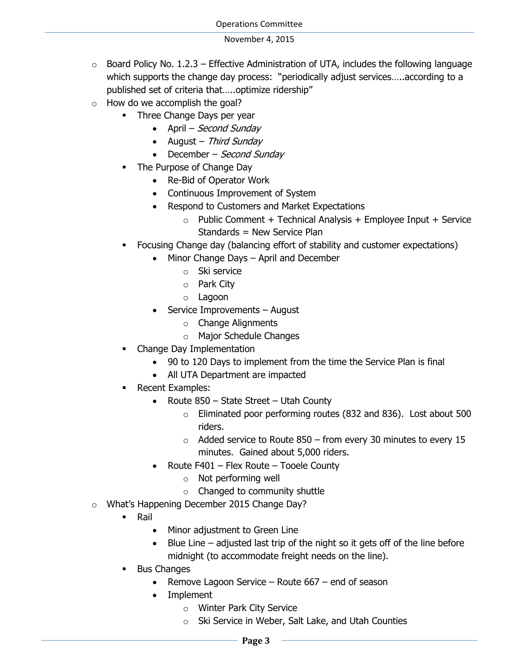- $\circ$  Board Policy No. 1.2.3 Effective Administration of UTA, includes the following language which supports the change day process: "periodically adjust services…..according to a published set of criteria that…..optimize ridership"
- $\circ$  How do we accomplish the goal?
	- Three Change Days per year
		- April Second Sunday
		- August Third Sunday
		- $\bullet$  December Second Sunday
	- The Purpose of Change Day
		- Re-Bid of Operator Work
		- Continuous Improvement of System
		- Respond to Customers and Market Expectations
			- $\circ$  Public Comment + Technical Analysis + Employee Input + Service Standards = New Service Plan
	- Focusing Change day (balancing effort of stability and customer expectations)
		- Minor Change Days April and December
			- o Ski service
			- o Park City
			- o Lagoon
		- Service Improvements August
			- o Change Alignments
			- o Major Schedule Changes
	- Change Day Implementation
		- 90 to 120 Days to implement from the time the Service Plan is final
		- All UTA Department are impacted
	- Recent Examples:
		- Route  $850$  State Street Utah County
			- o Eliminated poor performing routes (832 and 836). Lost about 500 riders.
			- $\circ$  Added service to Route 850 from every 30 minutes to every 15 minutes. Gained about 5,000 riders.
		- Route F401 Flex Route Tooele County
			- o Not performing well
			- o Changed to community shuttle
- o What's Happening December 2015 Change Day?
	- **Rail** 
		- Minor adjustment to Green Line
		- Blue Line adjusted last trip of the night so it gets off of the line before midnight (to accommodate freight needs on the line).
	- Bus Changes
		- Remove Lagoon Service Route  $667$  end of season
		- Implement
			- o Winter Park City Service
			- Ski Service in Weber, Salt Lake, and Utah Counties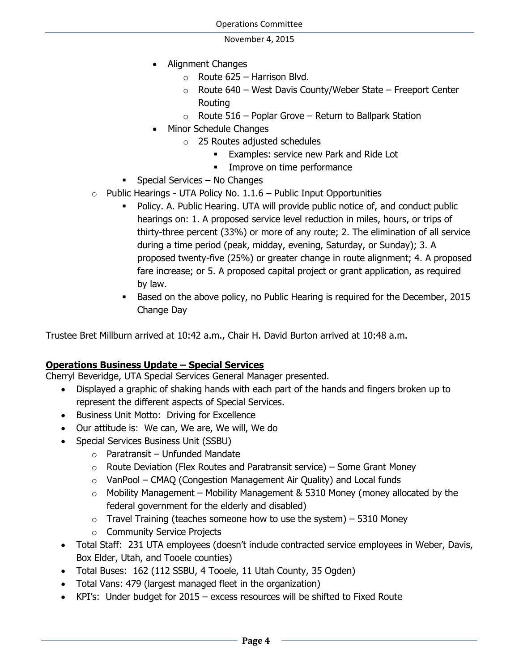- Alignment Changes
	- $\circ$  Route 625 Harrison Blvd.
	- $\circ$  Route 640 West Davis County/Weber State Freeport Center Routing
	- $\circ$  Route 516 Poplar Grove Return to Ballpark Station
- Minor Schedule Changes
	- o 25 Routes adjusted schedules
		- Examples: service new Park and Ride Lot
		- **Improve on time performance**
- $\blacksquare$  Special Services No Changes
- $\circ$  Public Hearings UTA Policy No. 1.1.6 Public Input Opportunities
	- Policy. A. Public Hearing. UTA will provide public notice of, and conduct public hearings on: 1. A proposed service level reduction in miles, hours, or trips of thirty-three percent (33%) or more of any route; 2. The elimination of all service during a time period (peak, midday, evening, Saturday, or Sunday); 3. A proposed twenty-five (25%) or greater change in route alignment; 4. A proposed fare increase; or 5. A proposed capital project or grant application, as required by law.
	- Based on the above policy, no Public Hearing is required for the December, 2015 Change Day

Trustee Bret Millburn arrived at 10:42 a.m., Chair H. David Burton arrived at 10:48 a.m.

# **Operations Business Update – Special Services**

Cherryl Beveridge, UTA Special Services General Manager presented.

- Displayed a graphic of shaking hands with each part of the hands and fingers broken up to represent the different aspects of Special Services.
- Business Unit Motto: Driving for Excellence
- Our attitude is: We can, We are, We will, We do
- Special Services Business Unit (SSBU)
	- $\circ$  Paratransit Unfunded Mandate
	- $\circ$  Route Deviation (Flex Routes and Paratransit service) Some Grant Money
	- $\circ$  VanPool CMAQ (Congestion Management Air Quality) and Local funds
	- $\circ$  Mobility Management Mobility Management & 5310 Money (money allocated by the federal government for the elderly and disabled)
	- $\circ$  Travel Training (teaches someone how to use the system) 5310 Money
	- o Community Service Projects
- Total Staff: 231 UTA employees (doesn't include contracted service employees in Weber, Davis, Box Elder, Utah, and Tooele counties)
- Total Buses: 162 (112 SSBU, 4 Tooele, 11 Utah County, 35 Ogden)
- Total Vans: 479 (largest managed fleet in the organization)
- KPI's: Under budget for 2015 excess resources will be shifted to Fixed Route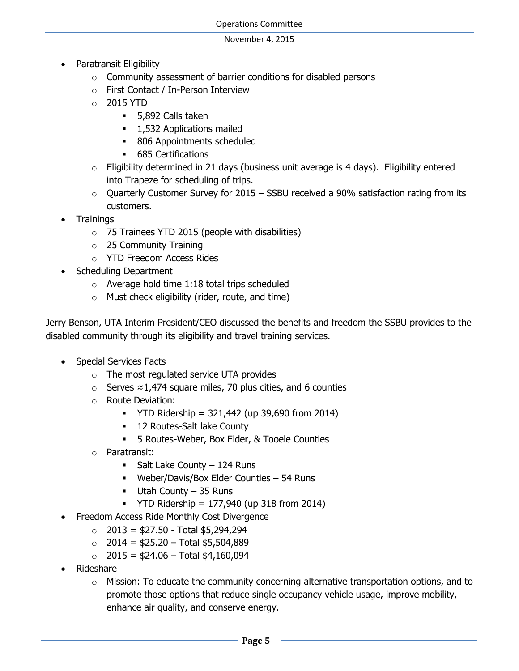- Paratransit Eligibility
	- o Community assessment of barrier conditions for disabled persons
	- o First Contact / In-Person Interview
	- o 2015 YTD
		- **5,892 Calls taken**
		- **1,532 Applications mailed**
		- 806 Appointments scheduled
		- **685 Certifications**
	- $\circ$  Eligibility determined in 21 days (business unit average is 4 days). Eligibility entered into Trapeze for scheduling of trips.
	- $\circ$  Ouarterly Customer Survey for 2015 SSBU received a 90% satisfaction rating from its customers.
- **Trainings** 
	- $\circ$  75 Trainees YTD 2015 (people with disabilities)
	- $\circ$  25 Community Training
	- o YTD Freedom Access Rides
- Scheduling Department
	- o Average hold time 1:18 total trips scheduled
	- $\circ$  Must check eligibility (rider, route, and time)

Jerry Benson, UTA Interim President/CEO discussed the benefits and freedom the SSBU provides to the disabled community through its eligibility and travel training services.

- Special Services Facts
	- o The most regulated service UTA provides
	- o Serves ≈1,474 square miles, 70 plus cities, and 6 counties
	- o Route Deviation:
		- $\blacksquare$  YTD Ridership = 321,442 (up 39,690 from 2014)
		- **12 Routes-Salt lake County**
		- 5 Routes-Weber, Box Elder, & Tooele Counties
	- o Paratransit:
		- $\blacksquare$  Salt Lake County 124 Runs
		- Weber/Davis/Box Elder Counties 54 Runs
		- $-$  Utah County 35 Runs
		- $\blacksquare$  YTD Ridership = 177,940 (up 318 from 2014)
- Freedom Access Ride Monthly Cost Divergence
	- $\circ$  2013 = \$27.50 Total \$5,294,294
	- $\circ$  2014 = \$25.20 Total \$5,504,889
	- $\circ$  2015 = \$24.06 Total \$4,160,094
- Rideshare
	- $\circ$  Mission: To educate the community concerning alternative transportation options, and to promote those options that reduce single occupancy vehicle usage, improve mobility, enhance air quality, and conserve energy.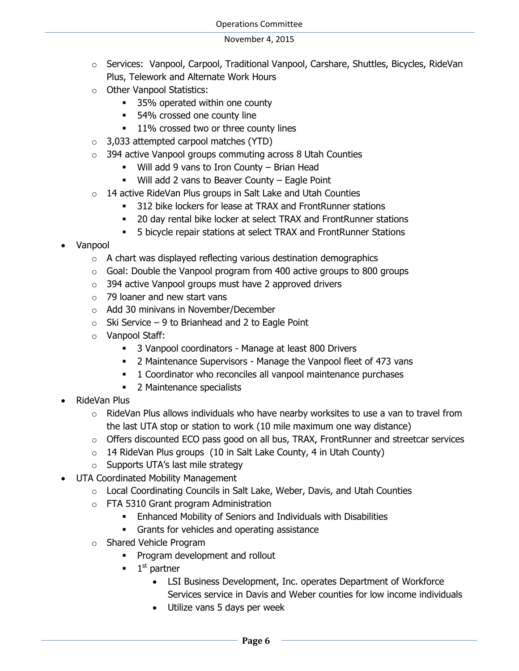- o Services: Vanpool, Carpool, Traditional Vanpool, Carshare, Shuttles, Bicycles, RideVan Plus, Telework and Alternate Work Hours
- o Other Vanpool Statistics:
	- **35%** operated within one county
	- 54% crossed one county line
	- **11%** crossed two or three county lines
- o 3,033 attempted carpool matches (YTD)
- o 394 active Vanpool groups commuting across 8 Utah Counties
	- Will add 9 vans to Iron County Brian Head
	- Will add 2 vans to Beaver County Eagle Point
- o 14 active RideVan Plus groups in Salt Lake and Utah Counties
	- 312 bike lockers for lease at TRAX and FrontRunner stations
	- 20 day rental bike locker at select TRAX and FrontRunner stations
	- 5 bicycle repair stations at select TRAX and FrontRunner Stations
- Vanpool
	- o A chart was displayed reflecting various destination demographics
	- $\circ$  Goal: Double the Vanpool program from 400 active groups to 800 groups
	- o 394 active Vanpool groups must have 2 approved drivers
	- o 79 loaner and new start vans
	- o Add 30 minivans in November/December
	- $\circ$  Ski Service 9 to Brianhead and 2 to Eagle Point
	- o Vanpool Staff:
		- **3 Vanpool coordinators Manage at least 800 Drivers**
		- 2 Maintenance Supervisors Manage the Vanpool fleet of 473 vans
		- **1** Coordinator who reconciles all vanpool maintenance purchases
		- 2 Maintenance specialists
- RideVan Plus
	- $\circ$  RideVan Plus allows individuals who have nearby worksites to use a van to travel from the last UTA stop or station to work (10 mile maximum one way distance)
	- o Offers discounted ECO pass good on all bus, TRAX, FrontRunner and streetcar services
	- $\circ$  14 RideVan Plus groups (10 in Salt Lake County, 4 in Utah County)
	- o Supports UTA's last mile strategy
- UTA Coordinated Mobility Management
	- $\circ$  Local Coordinating Councils in Salt Lake, Weber, Davis, and Utah Counties
	- o FTA 5310 Grant program Administration
		- Enhanced Mobility of Seniors and Individuals with Disabilities
		- Grants for vehicles and operating assistance
	- o Shared Vehicle Program
		- **Program development and rollout**
		- 1  $1<sup>st</sup>$  partner
			- LSI Business Development, Inc. operates Department of Workforce Services service in Davis and Weber counties for low income individuals
			- Utilize vans 5 days per week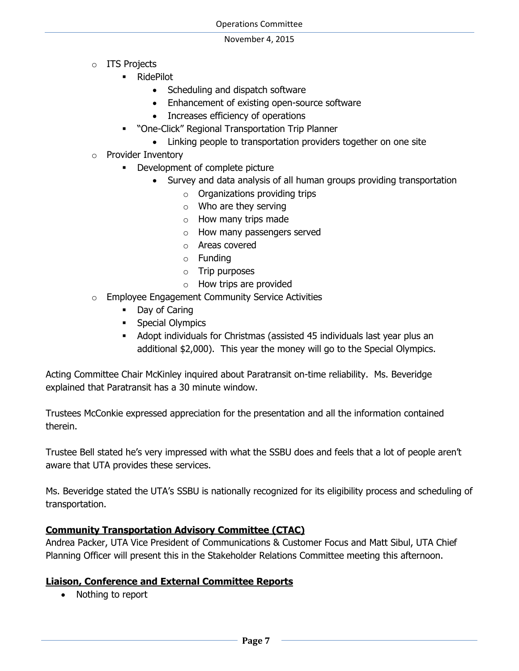- o ITS Projects
	- RidePilot
		- Scheduling and dispatch software
		- Enhancement of existing open-source software
		- Increases efficiency of operations
	- "One-Click" Regional Transportation Trip Planner
		- Linking people to transportation providers together on one site
- o Provider Inventory
	- Development of complete picture
		- Survey and data analysis of all human groups providing transportation
			- $\circ$  Organizations providing trips
			- o Who are they serving
			- o How many trips made
			- o How many passengers served
			- o Areas covered
			- o Funding
			- o Trip purposes
			- o How trips are provided
- o Employee Engagement Community Service Activities
	- Day of Caring
	- **Special Olympics**
	- Adopt individuals for Christmas (assisted 45 individuals last year plus an additional \$2,000). This year the money will go to the Special Olympics.

Acting Committee Chair McKinley inquired about Paratransit on-time reliability. Ms. Beveridge explained that Paratransit has a 30 minute window.

Trustees McConkie expressed appreciation for the presentation and all the information contained therein.

Trustee Bell stated he's very impressed with what the SSBU does and feels that a lot of people aren't aware that UTA provides these services.

Ms. Beveridge stated the UTA's SSBU is nationally recognized for its eligibility process and scheduling of transportation.

# **Community Transportation Advisory Committee (CTAC)**

Andrea Packer, UTA Vice President of Communications & Customer Focus and Matt Sibul, UTA Chief Planning Officer will present this in the Stakeholder Relations Committee meeting this afternoon.

### **Liaison, Conference and External Committee Reports**

• Nothing to report